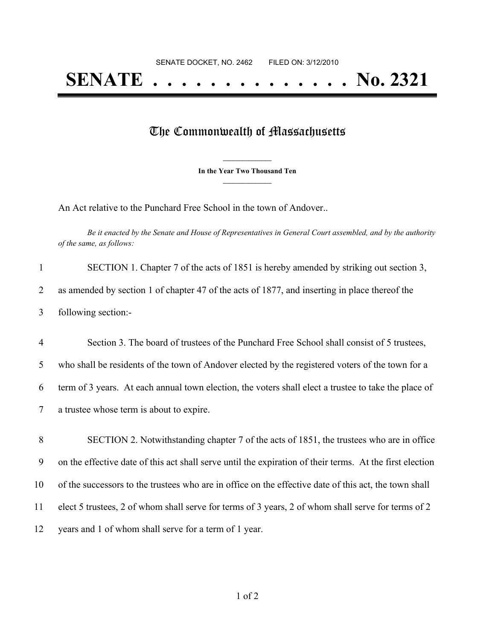## The Commonwealth of Massachusetts

**\_\_\_\_\_\_\_\_\_\_\_\_\_\_\_ In the Year Two Thousand Ten \_\_\_\_\_\_\_\_\_\_\_\_\_\_\_**

An Act relative to the Punchard Free School in the town of Andover..

Be it enacted by the Senate and House of Representatives in General Court assembled, and by the authority *of the same, as follows:*

| SECTION 1. Chapter 7 of the acts of 1851 is hereby amended by striking out section 3,         |
|-----------------------------------------------------------------------------------------------|
| as amended by section 1 of chapter 47 of the acts of 1877, and inserting in place thereof the |
| following section:-                                                                           |

 Section 3. The board of trustees of the Punchard Free School shall consist of 5 trustees, who shall be residents of the town of Andover elected by the registered voters of the town for a term of 3 years. At each annual town election, the voters shall elect a trustee to take the place of a trustee whose term is about to expire.

 SECTION 2. Notwithstanding chapter 7 of the acts of 1851, the trustees who are in office on the effective date of this act shall serve until the expiration of their terms. At the first election of the successors to the trustees who are in office on the effective date of this act, the town shall elect 5 trustees, 2 of whom shall serve for terms of 3 years, 2 of whom shall serve for terms of 2 years and 1 of whom shall serve for a term of 1 year.